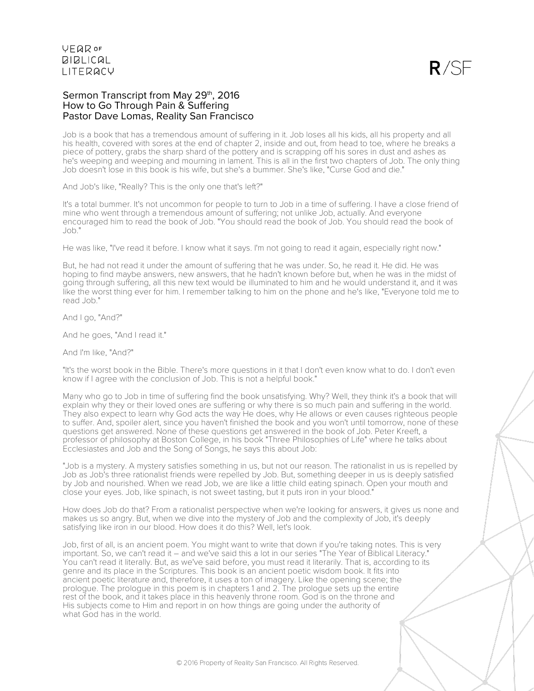$R/SF$ 

### Sermon Transcript from May 29th, 2016 How to Go Through Pain & Suffering Pastor Dave Lomas, Reality San Francisco

Job is a book that has a tremendous amount of suffering in it. Job loses all his kids, all his property and all his health, covered with sores at the end of chapter 2, inside and out, from head to toe, where he breaks a piece of pottery, grabs the sharp shard of the pottery and is scrapping off his sores in dust and ashes as he's weeping and weeping and mourning in lament. This is all in the first two chapters of Job. The only thing Job doesn't lose in this book is his wife, but she's a bummer. She's like, "Curse God and die."

And Job's like, "Really? This is the only one that's left?"

It's a total bummer. It's not uncommon for people to turn to Job in a time of suffering. I have a close friend of mine who went through a tremendous amount of suffering; not unlike Job, actually. And everyone encouraged him to read the book of Job. "You should read the book of Job. You should read the book of Job."

He was like, "I've read it before. I know what it says. I'm not going to read it again, especially right now."

But, he had not read it under the amount of suffering that he was under. So, he read it. He did. He was hoping to find maybe answers, new answers, that he hadn't known before but, when he was in the midst of going through suffering, all this new text would be illuminated to him and he would understand it, and it was like the worst thing ever for him. I remember talking to him on the phone and he's like, "Everyone told me to read Job."

And I go, "And?"

And he goes, "And I read it."

And I'm like, "And?"

"It's the worst book in the Bible. There's more questions in it that I don't even know what to do. I don't even know if I agree with the conclusion of Job. This is not a helpful book."

Many who go to Job in time of suffering find the book unsatisfying. Why? Well, they think it's a book that will explain why they or their loved ones are suffering or why there is so much pain and suffering in the world. They also expect to learn why God acts the way He does, why He allows or even causes righteous people to suffer. And, spoiler alert, since you haven't finished the book and you won't until tomorrow, none of these questions get answered. None of these questions get answered in the book of Job. Peter Kreeft, a professor of philosophy at Boston College, in his book "Three Philosophies of Life" where he talks about Ecclesiastes and Job and the Song of Songs, he says this about Job:

"Job is a mystery. A mystery satisfies something in us, but not our reason. The rationalist in us is repelled by Job as Job's three rationalist friends were repelled by Job. But, something deeper in us is deeply satisfied by Job and nourished. When we read Job, we are like a little child eating spinach. Open your mouth and close your eyes. Job, like spinach, is not sweet tasting, but it puts iron in your blood."

How does Job do that? From a rationalist perspective when we're looking for answers, it gives us none and makes us so angry. But, when we dive into the mystery of Job and the complexity of Job, it's deeply satisfying like iron in our blood. How does it do this? Well, let's look.

Job, first of all, is an ancient poem. You might want to write that down if you're taking notes. This is very important. So, we can't read it – and we've said this a lot in our series "The Year of Biblical Literacy." You can't read it literally. But, as we've said before, you must read it literarily. That is, according to its genre and its place in the Scriptures. This book is an ancient poetic wisdom book. It fits into ancient poetic literature and, therefore, it uses a ton of imagery. Like the opening scene; the prologue. The prologue in this poem is in chapters 1 and 2. The prologue sets up the entire rest of the book, and it takes place in this heavenly throne room. God is on the throne and His subjects come to Him and report in on how things are going under the authority of what God has in the world.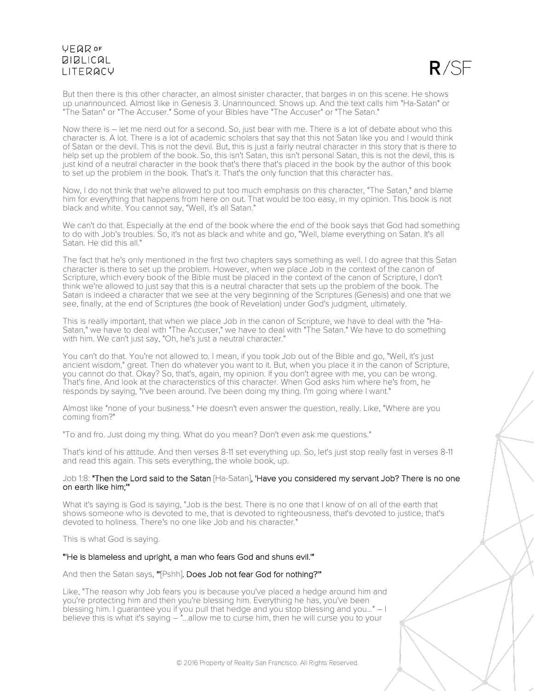$R/SE$ 

But then there is this other character, an almost sinister character, that barges in on this scene. He shows up unannounced. Almost like in Genesis 3. Unannounced. Shows up. And the text calls him "Ha-Satan" or "The Satan" or "The Accuser." Some of your Bibles have "The Accuser" or "The Satan."

Now there is – let me nerd out for a second. So, just bear with me. There is a lot of debate about who this character is. A lot. There is a lot of academic scholars that say that this not Satan like you and I would think of Satan or the devil. This is not the devil. But, this is just a fairly neutral character in this story that is there to help set up the problem of the book. So, this isn't Satan, this isn't personal Satan, this is not the devil, this is just kind of a neutral character in the book that's there that's placed in the book by the author of this book to set up the problem in the book. That's it. That's the only function that this character has.

Now, I do not think that we're allowed to put too much emphasis on this character, "The Satan," and blame him for everything that happens from here on out. That would be too easy, in my opinion. This book is not black and white. You cannot say, "Well, it's all Satan."

We can't do that. Especially at the end of the book where the end of the book says that God had something to do with Job's troubles. So, it's not as black and white and go, "Well, blame everything on Satan. It's all Satan. He did this all."

The fact that he's only mentioned in the first two chapters says something as well. I do agree that this Satan character is there to set up the problem. However, when we place Job in the context of the canon of Scripture, which every book of the Bible must be placed in the context of the canon of Scripture, I don't think we're allowed to just say that this is a neutral character that sets up the problem of the book. The Satan is indeed a character that we see at the very beginning of the Scriptures (Genesis) and one that we see, finally, at the end of Scriptures (the book of Revelation) under God's judgment, ultimately.

This is really important, that when we place Job in the canon of Scripture, we have to deal with the "Ha- Satan," we have to deal with "The Accuser," we have to do something with him. We can't just say, "Oh, he's just a neutral character."

You can't do that. You're not allowed to. I mean, if you took Job out of the Bible and go, "Well, it's just ancient wisdom," great. Then do whatever you want to it. But, when you place it in the canon of Scripture, you cannot do that. Okay? So, that's, again, my opinion. If you don't agree with me, you can be wrong. That's fine. And look at the characteristics of this character. When God asks him where he's from, he responds by saying, "I've been around. I've been doing my thing. I'm going where I want."

Almost like "none of your business." He doesn't even answer the question, really. Like, "Where are you coming from?"

"To and fro. Just doing my thing. What do you mean? Don't even ask me questions."

That's kind of his attitude. And then verses 8-11 set everything up. So, let's just stop really fast in verses 8-11 and read this again. This sets everything, the whole book, up.

#### Job 1:8: "Then the Lord said to the Satan [Ha-Satan], 'Have you considered my servant Job? There is no one on earth like him;'"

What it's saying is God is saying, "Job is the best. There is no one that I know of on all of the earth that shows someone who is devoted to me, that is devoted to righteousness, that's devoted to justice, that's devoted to holiness. There's no one like Job and his character."

This is what God is saying.

#### "'He is blameless and upright, a man who fears God and shuns evil.'"

And then the Satan says, "[Pshh]. Does Job not fear God for nothing?"

Like, "The reason why Job fears you is because you've placed a hedge around him and you're protecting him and then you're blessing him. Everything he has, you've been blessing him. I guarantee you if you pull that hedge and you stop blessing and you..." – I believe this is what it's saying – "...allow me to curse him, then he will curse you to your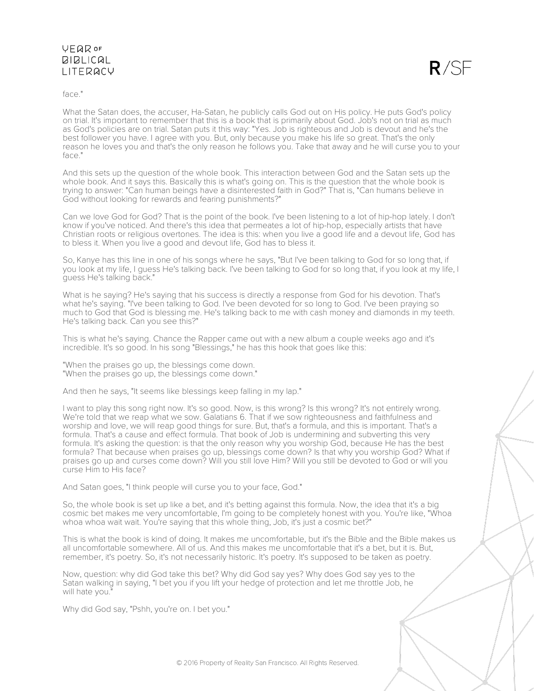

### face."

What the Satan does, the accuser, Ha-Satan, he publicly calls God out on His policy. He puts God's policy on trial. It's important to remember that this is a book that is primarily about God. Job's not on trial as much as God's policies are on trial. Satan puts it this way: "Yes. Job is righteous and Job is devout and he's the best follower you have. I agree with you. But, only because you make his life so great. That's the only reason he loves you and that's the only reason he follows you. Take that away and he will curse you to your face."

And this sets up the question of the whole book. This interaction between God and the Satan sets up the whole book. And it says this. Basically this is what's going on. This is the question that the whole book is trying to answer: "Can human beings have a disinterested faith in God?" That is, "Can humans believe in God without looking for rewards and fearing punishments?"

Can we love God for God? That is the point of the book. I've been listening to a lot of hip-hop lately. I don't know if you've noticed. And there's this idea that permeates a lot of hip-hop, especially artists that have Christian roots or religious overtones. The idea is this: when you live a good life and a devout life, God has to bless it. When you live a good and devout life, God has to bless it.

So, Kanye has this line in one of his songs where he says, "But I've been talking to God for so long that, if you look at my life, I guess He's talking back. I've been talking to God for so long that, if you look at my life, I guess He's talking back."

What is he saying? He's saying that his success is directly a response from God for his devotion. That's what he's saying. "I've been talking to God. I've been devoted for so long to God. I've been praying so much to God that God is blessing me. He's talking back to me with cash money and diamonds in my teeth. He's talking back. Can you see this?"

This is what he's saying. Chance the Rapper came out with a new album a couple weeks ago and it's incredible. It's so good. In his song "Blessings," he has this hook that goes like this:

"When the praises go up, the blessings come down. "When the praises go up, the blessings come down."

And then he says, "It seems like blessings keep falling in my lap."

I want to play this song right now. It's so good. Now, is this wrong? Is this wrong? It's not entirely wrong. We're told that we reap what we sow. Galatians 6. That if we sow righteousness and faithfulness and worship and love, we will reap good things for sure. But, that's a formula, and this is important. That's a formula. That's a cause and effect formula. That book of Job is undermining and subverting this very formula. It's asking the question: is that the only reason why you worship God, because He has the best formula? That because when praises go up, blessings come down? Is that why you worship God? What if praises go up and curses come down? Will you still love Him? Will you still be devoted to God or will you curse Him to His face?

And Satan goes, "I think people will curse you to your face, God."

So, the whole book is set up like a bet, and it's betting against this formula. Now, the idea that it's a big cosmic bet makes me very uncomfortable, I'm going to be completely honest with you. You're like, "Whoa whoa whoa wait wait. You're saying that this whole thing, Job, it's just a cosmic bet?"

This is what the book is kind of doing. It makes me uncomfortable, but it's the Bible and the Bible makes us all uncomfortable somewhere. All of us. And this makes me uncomfortable that it's a bet, but it is. But, remember, it's poetry. So, it's not necessarily historic. It's poetry. It's supposed to be taken as poetry.

Now, question: why did God take this bet? Why did God say yes? Why does God say yes to the Satan walking in saying, "I bet you if you lift your hedge of protection and let me throttle Job, he will hate you."

Why did God say, "Pshh, you're on. I bet you."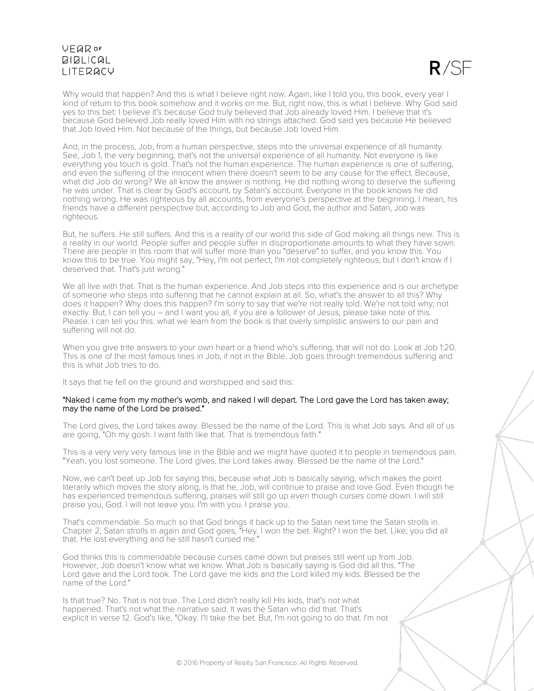

Why would that happen? And this is what I believe right now. Again, like I told you, this book, every year I kind of return to this book somehow and it works on me. But, right now, this is what I believe. Why God said yes to this bet: I believe it's because God truly believed that Job already loved Him. I believe that it's because God believed Job really loved Him with no strings attached. God said yes because He believed that Job loved Him. Not because of the things, but because Job loved Him.

And, in the process, Job, from a human perspective, steps into the universal experience of all humanity. See, Job 1, the very beginning, that's not the universal experience of all humanity. Not everyone is like everything you touch is gold. That's not the human experience. The human experience is one of suffering, and even the suffering of the innocent when there doesn't seem to be any cause for the effect. Because, what did Job do wrong? We all know the answer is nothing. He did nothing wrong to deserve the suffering he was under. That is clear by God's account, by Satan's account. Everyone in the book knows he did nothing wrong. He was righteous by all accounts, from everyone's perspective at the beginning. I mean, his friends have a different perspective but, according to Job and God, the author and Satan, Job was righteous.

But, he suffers. He still suffers. And this is a reality of our world this side of God making all things new. This is a reality in our world. People suffer and people suffer in disproportionate amounts to what they have sown. There are people in this room that will suffer more than you "deserve" to suffer, and you know this. You know this to be true. You might say, "Hey, I'm not perfect, I'm not completely righteous, but I don't know if I deserved that. That's just wrong."

We all live with that. That is the human experience. And Job steps into this experience and is our archetype of someone who steps into suffering that he cannot explain at all. So, what's the answer to all this? Why does it happen? Why does this happen? I'm sorry to say that we're not really told. We're not told why; not exactly. But, I can tell you – and I want you all, if you are a follower of Jesus, please take note of this. Please. I can tell you this: what we learn from the book is that overly simplistic answers to our pain and suffering will not do.

When you give trite answers to your own heart or a friend who's suffering, that will not do. Look at Job 1:20. This is one of the most famous lines in Job, if not in the Bible. Job goes through tremendous suffering and this is what Job tries to do.

It says that he fell on the ground and worshipped and said this:

#### "Naked I came from my mother's womb, and naked I will depart. The Lord gave the Lord has taken away; may the name of the Lord be praised."

The Lord gives, the Lord takes away. Blessed be the name of the Lord. This is what Job says. And all of us are going, "Oh my gosh. I want faith like that. That is tremendous faith."

This is a very very very famous line in the Bible and we might have quoted it to people in tremendous pain. "Yeah, you lost someone. The Lord gives, the Lord takes away. Blessed be the name of the Lord."

Now, we can't beat up Job for saying this, because what Job is basically saying, which makes the point literarily which moves the story along, is that he, Job, will continue to praise and love God. Even though he has experienced tremendous suffering, praises will still go up even though curses come down. I will still praise you, God. I will not leave you. I'm with you. I praise you.

That's commendable. So much so that God brings it back up to the Satan next time the Satan strolls in. Chapter 2, Satan strolls in again and God goes, "Hey. I won the bet. Right? I won the bet. Like, you did all that. He lost everything and he still hasn't cursed me."

God thinks this is commendable because curses came down but praises still went up from Job. However, Job doesn't know what we know. What Job is basically saying is God did all this. "The Lord gave and the Lord took. The Lord gave me kids and the Lord killed my kids. Blessed be the name of the Lord."

Is that true? No. That is not true. The Lord didn't really kill His kids, that's not what happened. That's not what the narrative said. It was the Satan who did that. That's explicit in verse 12. God's like, "Okay. I'll take the bet. But, I'm not going to do that. I'm not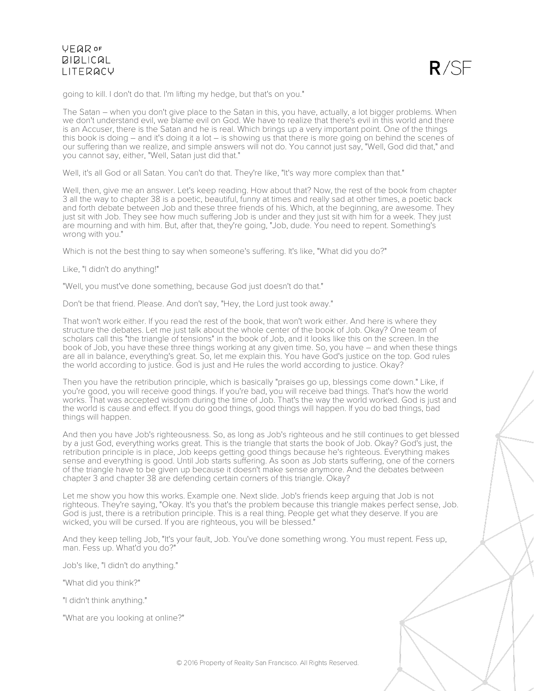

going to kill. I don't do that. I'm lifting my hedge, but that's on you."

The Satan – when you don't give place to the Satan in this, you have, actually, a lot bigger problems. When we don't understand evil, we blame evil on God. We have to realize that there's evil in this world and there is an Accuser, there is the Satan and he is real. Which brings up a very important point. One of the things this book is doing – and it's doing it a lot – is showing us that there is more going on behind the scenes of our suffering than we realize, and simple answers will not do. You cannot just say, "Well, God did that," and you cannot say, either, "Well, Satan just did that."

Well, it's all God or all Satan. You can't do that. They're like, "It's way more complex than that."

Well, then, give me an answer. Let's keep reading. How about that? Now, the rest of the book from chapter 3 all the way to chapter 38 is a poetic, beautiful, funny at times and really sad at other times, a poetic back and forth debate between Job and these three friends of his. Which, at the beginning, are awesome. They just sit with Job. They see how much suffering Job is under and they just sit with him for a week. They just are mourning and with him. But, after that, they're going, "Job, dude. You need to repent. Something's wrong with you."

Which is not the best thing to say when someone's suffering. It's like, "What did you do?"

Like, "I didn't do anything!"

"Well, you must've done something, because God just doesn't do that."

Don't be that friend. Please. And don't say, "Hey, the Lord just took away."

That won't work either. If you read the rest of the book, that won't work either. And here is where they structure the debates. Let me just talk about the whole center of the book of Job. Okay? One team of scholars call this "the triangle of tensions" in the book of Job, and it looks like this on the screen. In the book of Job, you have these three things working at any given time. So, you have – and when these things are all in balance, everything's great. So, let me explain this. You have God's justice on the top. God rules the world according to justice. God is just and He rules the world according to justice. Okay?

Then you have the retribution principle, which is basically "praises go up, blessings come down." Like, if you're good, you will receive good things. If you're bad, you will receive bad things. That's how the world works. That was accepted wisdom during the time of Job. That's the way the world worked. God is just and the world is cause and effect. If you do good things, good things will happen. If you do bad things, bad things will happen.

And then you have Job's righteousness. So, as long as Job's righteous and he still continues to get blessed by a just God, everything works great. This is the triangle that starts the book of Job. Okay? God's just, the retribution principle is in place, Job keeps getting good things because he's righteous. Everything makes sense and everything is good. Until Job starts suffering. As soon as Job starts suffering, one of the corners of the triangle have to be given up because it doesn't make sense anymore. And the debates between chapter 3 and chapter 38 are defending certain corners of this triangle. Okay?

Let me show you how this works. Example one. Next slide. Job's friends keep arguing that Job is not righteous. They're saying, "Okay. It's you that's the problem because this triangle makes perfect sense, Job. God is just, there is a retribution principle. This is a real thing. People get what they deserve. If you are wicked, you will be cursed. If you are righteous, you will be blessed."

And they keep telling Job, "It's your fault, Job. You've done something wrong. You must repent. Fess up, man. Fess up. What'd you do?"

Job's like, "I didn't do anything."

"What did you think?"

"I didn't think anything."

"What are you looking at online?"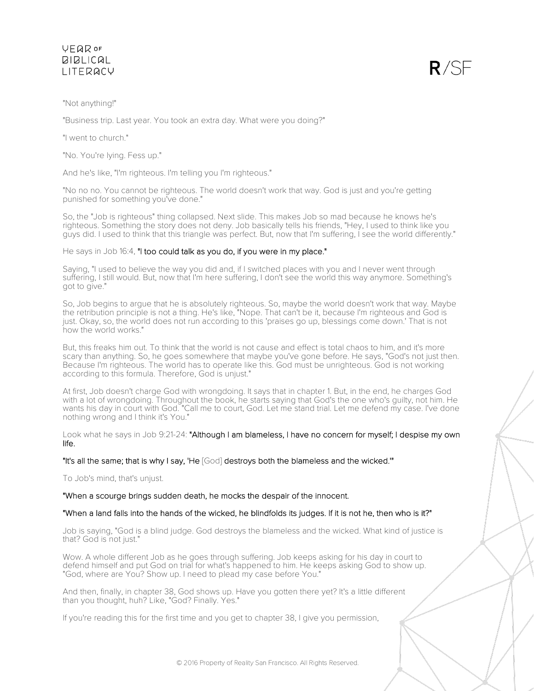

### "Not anything!"

"Business trip. Last year. You took an extra day. What were you doing?"

"I went to church."

"No. You're lying. Fess up."

And he's like, "I'm righteous. I'm telling you I'm righteous."

"No no no. You cannot be righteous. The world doesn't work that way. God is just and you're getting punished for something you've done."

So, the "Job is righteous" thing collapsed. Next slide. This makes Job so mad because he knows he's righteous. Something the story does not deny. Job basically tells his friends, "Hey, I used to think like you guys did. I used to think that this triangle was perfect. But, now that I'm suffering, I see the world differently."

He says in Job 16:4, "I too could talk as you do, if you were in my place."

Saying, "I used to believe the way you did and, if I switched places with you and I never went through suffering, I still would. But, now that I'm here suffering, I don't see the world this way anymore. Something's got to give."

So, Job begins to argue that he is absolutely righteous. So, maybe the world doesn't work that way. Maybe the retribution principle is not a thing. He's like, "Nope. That can't be it, because I'm righteous and God is just. Okay, so, the world does not run according to this 'praises go up, blessings come down.' That is not how the world works."

But, this freaks him out. To think that the world is not cause and effect is total chaos to him, and it's more scary than anything. So, he goes somewhere that maybe you've gone before. He says, "God's not just then. Because I'm righteous. The world has to operate like this. God must be unrighteous. God is not working according to this formula. Therefore, God is unjust."

At first, Job doesn't charge God with wrongdoing. It says that in chapter 1. But, in the end, he charges God with a lot of wrongdoing. Throughout the book, he starts saying that God's the one who's guilty, not him. He wants his day in court with God. "Call me to court, God. Let me stand trial. Let me defend my case. I've done nothing wrong and I think it's You."

Look what he says in Job 9:21-24: "Although I am blameless, I have no concern for myself; I despise my own life.

"It's all the same; that is why I say, 'He [God] destroys both the blameless and the wicked.'"

To Job's mind, that's unjust.

"When a scourge brings sudden death, he mocks the despair of the innocent.

### "When a land falls into the hands of the wicked, he blindfolds its judges. If it is not he, then who is it?"

Job is saying, "God is a blind judge. God destroys the blameless and the wicked. What kind of justice is that? God is not just."

Wow. A whole different Job as he goes through suffering. Job keeps asking for his day in court to defend himself and put God on trial for what's happened to him. He keeps asking God to show up. "God, where are You? Show up. I need to plead my case before You."

And then, finally, in chapter 38, God shows up. Have you gotten there yet? It's a little different than you thought, huh? Like, "God? Finally. Yes."

If you're reading this for the first time and you get to chapter 38, I give you permission,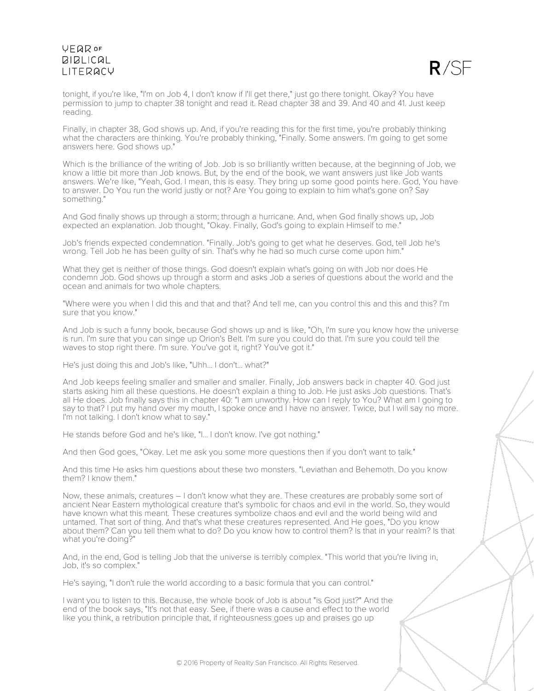

tonight, if you're like, "I'm on Job 4, I don't know if I'll get there," just go there tonight. Okay? You have permission to jump to chapter 38 tonight and read it. Read chapter 38 and 39. And 40 and 41. Just keep reading.

Finally, in chapter 38, God shows up. And, if you're reading this for the first time, you're probably thinking what the characters are thinking. You're probably thinking, "Finally. Some answers. I'm going to get some answers here. God shows up."

Which is the brilliance of the writing of Job. Job is so brilliantly written because, at the beginning of Job, we know a little bit more than Job knows. But, by the end of the book, we want answers just like Job wants answers. We're like, "Yeah, God. I mean, this is easy. They bring up some good points here. God, You have to answer. Do You run the world justly or not? Are You going to explain to him what's gone on? Say something."

And God finally shows up through a storm; through a hurricane. And, when God finally shows up, Job expected an explanation. Job thought, "Okay. Finally, God's going to explain Himself to me."

Job's friends expected condemnation. "Finally. Job's going to get what he deserves. God, tell Job he's wrong. Tell Job he has been guilty of sin. That's why he had so much curse come upon him."

What they get is neither of those things. God doesn't explain what's going on with Job nor does He condemn Job. God shows up through a storm and asks Job a series of questions about the world and the ocean and animals for two whole chapters.

"Where were you when I did this and that and that? And tell me, can you control this and this and this? I'm sure that you know."

And Job is such a funny book, because God shows up and is like, "Oh, I'm sure you know how the universe is run. I'm sure that you can singe up Orion's Belt. I'm sure you could do that. I'm sure you could tell the waves to stop right there. I'm sure. You've got it, right? You've got it."

He's just doing this and Job's like, "Uhh... I don't... what?"

And Job keeps feeling smaller and smaller and smaller. Finally, Job answers back in chapter 40. God just starts asking him all these questions. He doesn't explain a thing to Job. He just asks Job questions. That's all He does. Job finally says this in chapter 40: "I am unworthy. How can I reply to You? What am I going to say to that? I put my hand over my mouth, I spoke once and I have no answer. Twice, but I will say no more. I'm not talking. I don't know what to say."

He stands before God and he's like, "I... I don't know. I've got nothing."

And then God goes, "Okay. Let me ask you some more questions then if you don't want to talk."

And this time He asks him questions about these two monsters. "Leviathan and Behemoth. Do you know them? I know them."

Now, these animals, creatures – I don't know what they are. These creatures are probably some sort of ancient Near Eastern mythological creature that's symbolic for chaos and evil in the world. So, they would have known what this meant. These creatures symbolize chaos and evil and the world being wild and untamed. That sort of thing. And that's what these creatures represented. And He goes, "Do you know about them? Can you tell them what to do? Do you know how to control them? Is that in your realm? Is that what you're doing?

And, in the end, God is telling Job that the universe is terribly complex. "This world that you're living in, Job, it's so complex."

He's saying, "I don't rule the world according to a basic formula that you can control."

I want you to listen to this. Because, the whole book of Job is about "is God just?" And the end of the book says, "It's not that easy. See, if there was a cause and effect to the world like you think, a retribution principle that, if righteousness goes up and praises go up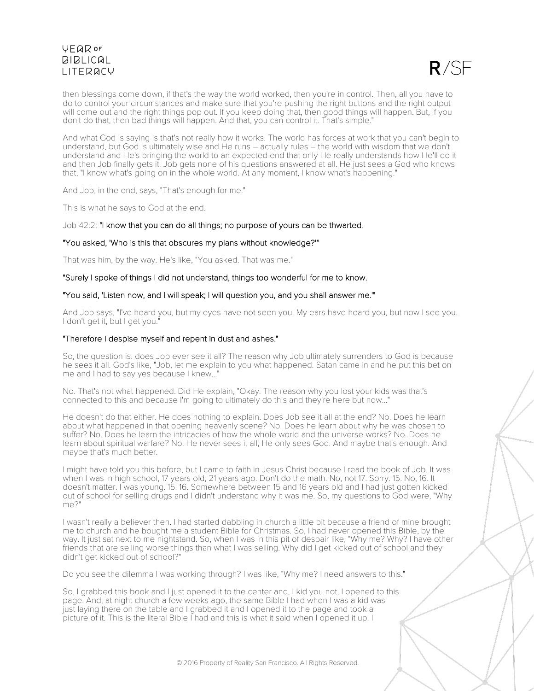$R/SF$ 

then blessings come down, if that's the way the world worked, then you're in control. Then, all you have to do to control your circumstances and make sure that you're pushing the right buttons and the right output will come out and the right things pop out. If you keep doing that, then good things will happen. But, if you don't do that, then bad things will happen. And that, you can control it. That's simple."

And what God is saying is that's not really how it works. The world has forces at work that you can't begin to understand, but God is ultimately wise and He runs – actually rules – the world with wisdom that we don't understand and He's bringing the world to an expected end that only He really understands how He'll do it and then Job finally gets it. Job gets none of his questions answered at all. He just sees a God who knows that, "I know what's going on in the whole world. At any moment, I know what's happening."

And Job, in the end, says, "That's enough for me."

This is what he says to God at the end.

#### Job 42:2: "I know that you can do all things; no purpose of yours can be thwarted.

#### "You asked, 'Who is this that obscures my plans without knowledge?'"

That was him, by the way. He's like, "You asked. That was me."

#### "Surely I spoke of things I did not understand, things too wonderful for me to know.

#### "You said, 'Listen now, and I will speak; I will question you, and you shall answer me.'"

And Job says, "I've heard you, but my eyes have not seen you. My ears have heard you, but now I see you. I don't get it, but I get you."

#### "Therefore I despise myself and repent in dust and ashes."

So, the question is: does Job ever see it all? The reason why Job ultimately surrenders to God is because he sees it all. God's like, "Job, let me explain to you what happened. Satan came in and he put this bet on me and I had to say yes because I knew..."

No. That's not what happened. Did He explain, "Okay. The reason why you lost your kids was that's connected to this and because I'm going to ultimately do this and they're here but now..."

He doesn't do that either. He does nothing to explain. Does Job see it all at the end? No. Does he learn about what happened in that opening heavenly scene? No. Does he learn about why he was chosen to suffer? No. Does he learn the intricacies of how the whole world and the universe works? No. Does he learn about spiritual warfare? No. He never sees it all; He only sees God. And maybe that's enough. And maybe that's much better.

I might have told you this before, but I came to faith in Jesus Christ because I read the book of Job. It was when I was in high school, 17 years old, 21 years ago. Don't do the math. No, not 17. Sorry. 15. No, 16. It doesn't matter. I was young. 15. 16. Somewhere between 15 and 16 years old and I had just gotten kicked out of school for selling drugs and I didn't understand why it was me. So, my questions to God were, "Why me?"

I wasn't really a believer then. I had started dabbling in church a little bit because a friend of mine brought me to church and he bought me a student Bible for Christmas. So, I had never opened this Bible, by the way. It just sat next to me nightstand. So, when I was in this pit of despair like, "Why me? Why? I have other friends that are selling worse things than what I was selling. Why did I get kicked out of school and they didn't get kicked out of school?"

Do you see the dilemma I was working through? I was like, "Why me? I need answers to this."

So, I grabbed this book and I just opened it to the center and, I kid you not, I opened to this page. And, at night church a few weeks ago, the same Bible I had when I was a kid was just laying there on the table and I grabbed it and I opened it to the page and took a picture of it. This is the literal Bible I had and this is what it said when I opened it up. I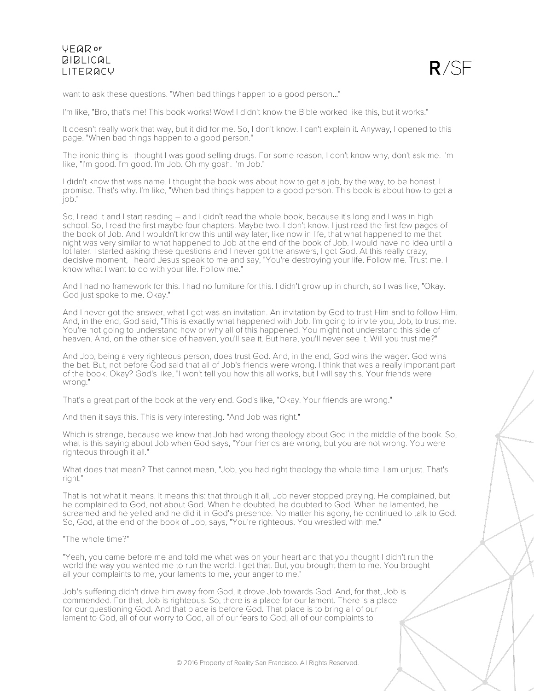

want to ask these questions. "When bad things happen to a good person..."

I'm like, "Bro, that's me! This book works! Wow! I didn't know the Bible worked like this, but it works."

It doesn't really work that way, but it did for me. So, I don't know. I can't explain it. Anyway, I opened to this page. "When bad things happen to a good person."

The ironic thing is I thought I was good selling drugs. For some reason, I don't know why, don't ask me. I'm like, "I'm good. I'm good. I'm Job. Oh my gosh. I'm Job."

I didn't know that was name. I thought the book was about how to get a job, by the way, to be honest. I promise. That's why. I'm like, "When bad things happen to a good person. This book is about how to get a job."

So, I read it and I start reading – and I didn't read the whole book, because it's long and I was in high school. So, I read the first maybe four chapters. Maybe two. I don't know. I just read the first few pages of the book of Job. And I wouldn't know this until way later, like now in life, that what happened to me that night was very similar to what happened to Job at the end of the book of Job. I would have no idea until a lot later. I started asking these questions and I never got the answers, I got God. At this really crazy, decisive moment, I heard Jesus speak to me and say, "You're destroying your life. Follow me. Trust me. I know what I want to do with your life. Follow me."

And I had no framework for this. I had no furniture for this. I didn't grow up in church, so I was like, "Okay. God just spoke to me. Okay."

And I never got the answer, what I got was an invitation. An invitation by God to trust Him and to follow Him. And, in the end, God said, "This is exactly what happened with Job. I'm going to invite you, Job, to trust me. You're not going to understand how or why all of this happened. You might not understand this side of heaven. And, on the other side of heaven, you'll see it. But here, you'll never see it. Will you trust me?"

And Job, being a very righteous person, does trust God. And, in the end, God wins the wager. God wins the bet. But, not before God said that all of Job's friends were wrong. I think that was a really important part of the book. Okay? God's like, "I won't tell you how this all works, but I will say this. Your friends were wrong."

That's a great part of the book at the very end. God's like, "Okay. Your friends are wrong."

And then it says this. This is very interesting. "And Job was right."

Which is strange, because we know that Job had wrong theology about God in the middle of the book. So, what is this saying about Job when God says, "Your friends are wrong, but you are not wrong. You were righteous through it all."

What does that mean? That cannot mean, "Job, you had right theology the whole time. I am unjust. That's right."

That is not what it means. It means this: that through it all, Job never stopped praying. He complained, but he complained to God, not about God. When he doubted, he doubted to God. When he lamented, he screamed and he yelled and he did it in God's presence. No matter his agony, he continued to talk to God. So, God, at the end of the book of Job, says, "You're righteous. You wrestled with me."

#### "The whole time?"

"Yeah, you came before me and told me what was on your heart and that you thought I didn't run the world the way you wanted me to run the world. I get that. But, you brought them to me. You brought all your complaints to me, your laments to me, your anger to me."

Job's suffering didn't drive him away from God, it drove Job towards God. And, for that, Job is commended. For that, Job is righteous. So, there is a place for our lament. There is a place for our questioning God. And that place is before God. That place is to bring all of our lament to God, all of our worry to God, all of our fears to God, all of our complaints to